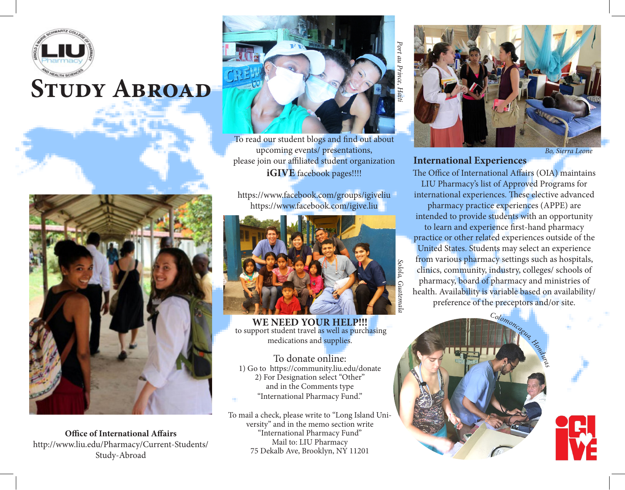

# **STUDY ABROAD**



**Office of International Affairs** http://www.liu.edu/Pharmacy/Current-Students/ Study-Abroad



To read our student blogs and find out about upcoming events/ presentations, please join our affiliated student organization **iGIVE** facebook pages!!!!

https://www.facebook.com/groups/igiveliu https://www.facebook.com/igive.liu



**WE NEED YOUR HELP!!!** to support student travel as well as purchasing medications and supplies.

To donate online: 1) Go to https://community.liu.edu/donate 2) For Designation select "Other" and in the Comments type "International Pharmacy Fund."

To mail a check, please write to "Long Island University" and in the memo section write "International Pharmacy Fund" Mail to: LIU Pharmacy 75 Dekalb Ave, Brooklyn, NY 11201

*Bo, Sierra Leone*

#### **International Experiences**

The Office of International Affairs (OIA) maintains LIU Pharmacy's list of Approved Programs for international experiences. These elective advanced pharmacy practice experiences (APPE) are intended to provide students with an opportunity to learn and experience first-hand pharmacy practice or other related experiences outside of the United States. Students may select an experience

from various pharmacy settings such as hospitals, clinics, community, industry, colleges/ schools of pharmacy, board of pharmacy and ministries of health. Availability is variable based on availability/ preference of the preceptors and/or site.